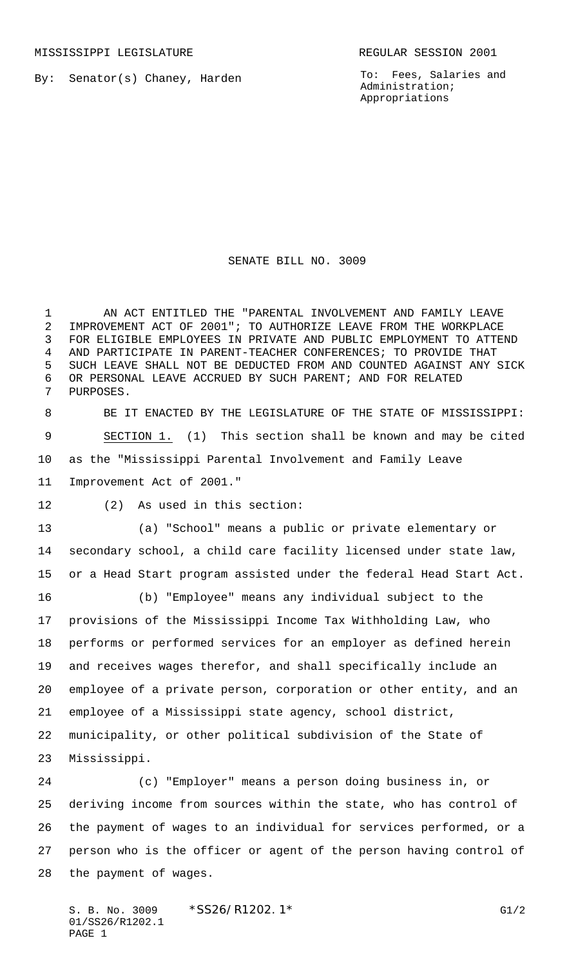By: Senator(s) Chaney, Harden

To: Fees, Salaries and Administration; Appropriations

## SENATE BILL NO. 3009

 AN ACT ENTITLED THE "PARENTAL INVOLVEMENT AND FAMILY LEAVE IMPROVEMENT ACT OF 2001"; TO AUTHORIZE LEAVE FROM THE WORKPLACE FOR ELIGIBLE EMPLOYEES IN PRIVATE AND PUBLIC EMPLOYMENT TO ATTEND AND PARTICIPATE IN PARENT-TEACHER CONFERENCES; TO PROVIDE THAT SUCH LEAVE SHALL NOT BE DEDUCTED FROM AND COUNTED AGAINST ANY SICK OR PERSONAL LEAVE ACCRUED BY SUCH PARENT; AND FOR RELATED PURPOSES.

 BE IT ENACTED BY THE LEGISLATURE OF THE STATE OF MISSISSIPPI: SECTION 1. (1) This section shall be known and may be cited as the "Mississippi Parental Involvement and Family Leave Improvement Act of 2001."

(2) As used in this section:

 (a) "School" means a public or private elementary or secondary school, a child care facility licensed under state law, or a Head Start program assisted under the federal Head Start Act.

 (b) "Employee" means any individual subject to the provisions of the Mississippi Income Tax Withholding Law, who performs or performed services for an employer as defined herein and receives wages therefor, and shall specifically include an employee of a private person, corporation or other entity, and an employee of a Mississippi state agency, school district, municipality, or other political subdivision of the State of Mississippi.

 (c) "Employer" means a person doing business in, or deriving income from sources within the state, who has control of the payment of wages to an individual for services performed, or a person who is the officer or agent of the person having control of the payment of wages.